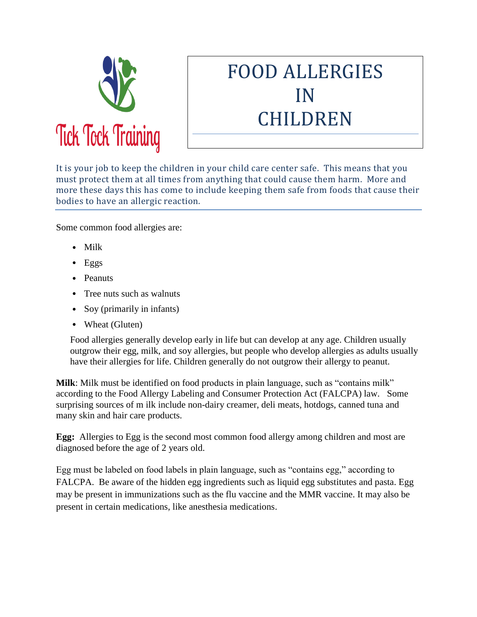

# FOOD ALLERGIES IN CHILDREN

It is your job to keep the children in your child care center safe. This means that you must protect them at all times from anything that could cause them harm. More and more these days this has come to include keeping them safe from foods that cause their bodies to have an allergic reaction.

Some common food allergies are:

- Milk
- $\bullet$  Eggs
- Peanuts
- Tree nuts such as walnuts
- Soy (primarily in infants)
- Wheat (Gluten)

Food allergies generally develop early in life but can develop at any age. Children usually outgrow their egg, milk, and soy allergies, but people who develop allergies as adults usually have their allergies for life. Children generally do not outgrow their allergy to peanut.

**Milk**: Milk must be identified on food products in plain language, such as "contains milk" according to the Food Allergy Labeling and Consumer Protection Act (FALCPA) law. Some surprising sources of m ilk include non-dairy creamer, deli meats, hotdogs, canned tuna and many skin and hair care products.

**Egg:** Allergies to Egg is the second most common food allergy among children and most are diagnosed before the age of 2 years old.

Egg must be labeled on food labels in plain language, such as "contains egg," according to FALCPA. Be aware of the hidden egg ingredients such as liquid egg substitutes and pasta. Egg may be present in immunizations such as the flu vaccine and the MMR vaccine. It may also be present in certain medications, like anesthesia medications.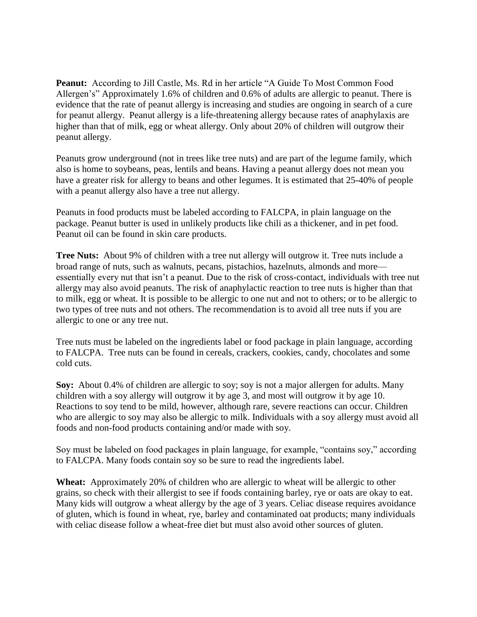**Peanut:** According to Jill Castle, Ms. Rd in her article "A Guide To Most Common Food Allergen's" Approximately 1.6% of children and 0.6% of adults are allergic to peanut. There is evidence that the rate of peanut allergy is increasing and studies are ongoing in search of a cure for peanut allergy. Peanut allergy is a life-threatening allergy because rates of anaphylaxis are higher than that of milk, egg or wheat allergy. Only about 20% of children will outgrow their peanut allergy.

Peanuts grow underground (not in trees like tree nuts) and are part of the legume family, which also is home to soybeans, peas, lentils and beans. Having a peanut allergy does not mean you have a greater risk for allergy to beans and other legumes. It is estimated that 25-40% of people with a peanut allergy also have a tree nut allergy.

Peanuts in food products must be labeled according to FALCPA, in plain language on the package. Peanut butter is used in unlikely products like chili as a thickener, and in pet food. Peanut oil can be found in skin care products.

**Tree Nuts:** About 9% of children with a tree nut allergy will outgrow it. Tree nuts include a broad range of nuts, such as walnuts, pecans, pistachios, hazelnuts, almonds and more essentially every nut that isn't a peanut. Due to the risk of cross-contact, individuals with tree nut allergy may also avoid peanuts. The risk of anaphylactic reaction to tree nuts is higher than that to milk, egg or wheat. It is possible to be allergic to one nut and not to others; or to be allergic to two types of tree nuts and not others. The recommendation is to avoid all tree nuts if you are allergic to one or any tree nut.

Tree nuts must be labeled on the ingredients label or food package in plain language, according to FALCPA. Tree nuts can be found in cereals, crackers, cookies, candy, chocolates and some cold cuts.

**Soy:** About 0.4% of children are allergic to soy; soy is not a major allergen for adults. Many children with a soy allergy will outgrow it by age 3, and most will outgrow it by age 10. Reactions to soy tend to be mild, however, although rare, severe reactions can occur. Children who are allergic to soy may also be allergic to milk. Individuals with a soy allergy must avoid all foods and non-food products containing and/or made with soy.

Soy must be labeled on food packages in plain language, for example, "contains soy," according to FALCPA. Many foods contain soy so be sure to read the ingredients label.

**Wheat:** Approximately 20% of children who are allergic to wheat will be allergic to other grains, so check with their allergist to see if foods containing barley, rye or oats are okay to eat. Many kids will outgrow a wheat allergy by the age of 3 years. Celiac disease requires avoidance of gluten, which is found in wheat, rye, barley and contaminated oat products; many individuals with celiac disease follow a wheat-free diet but must also avoid other sources of gluten.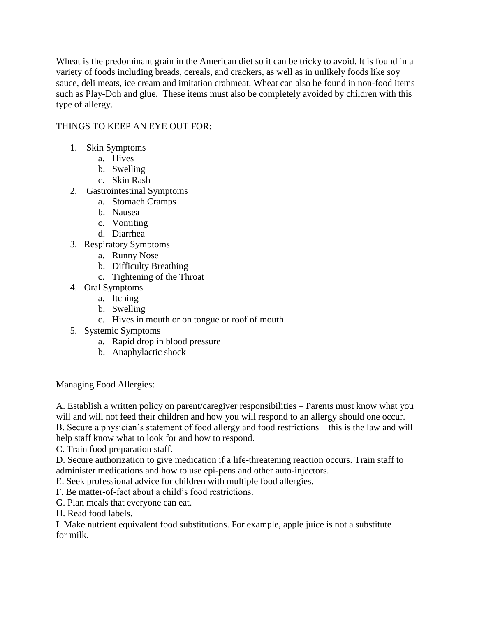Wheat is the predominant grain in the American diet so it can be tricky to avoid. It is found in a variety of foods including breads, cereals, and crackers, as well as in unlikely foods like soy sauce, deli meats, ice cream and imitation crabmeat. Wheat can also be found in non-food items such as Play-Doh and glue. These items must also be completely avoided by children with this type of allergy.

## THINGS TO KEEP AN EYE OUT FOR:

- 1. Skin Symptoms
	- a. Hives
	- b. Swelling
	- c. Skin Rash
- 2. Gastrointestinal Symptoms
	- a. Stomach Cramps
	- b. Nausea
	- c. Vomiting
	- d. Diarrhea
- 3. Respiratory Symptoms
	- a. Runny Nose
	- b. Difficulty Breathing
	- c. Tightening of the Throat
- 4. Oral Symptoms
	- a. Itching
	- b. Swelling
	- c. Hives in mouth or on tongue or roof of mouth
- 5. Systemic Symptoms
	- a. Rapid drop in blood pressure
	- b. Anaphylactic shock

Managing Food Allergies:

A. Establish a written policy on parent/caregiver responsibilities – Parents must know what you will and will not feed their children and how you will respond to an allergy should one occur. B. Secure a physician's statement of food allergy and food restrictions – this is the law and will

help staff know what to look for and how to respond.

C. Train food preparation staff.

D. Secure authorization to give medication if a life-threatening reaction occurs. Train staff to administer medications and how to use epi-pens and other auto-injectors.

E. Seek professional advice for children with multiple food allergies.

F. Be matter-of-fact about a child's food restrictions.

G. Plan meals that everyone can eat.

H. Read food labels.

I. Make nutrient equivalent food substitutions. For example, apple juice is not a substitute for milk.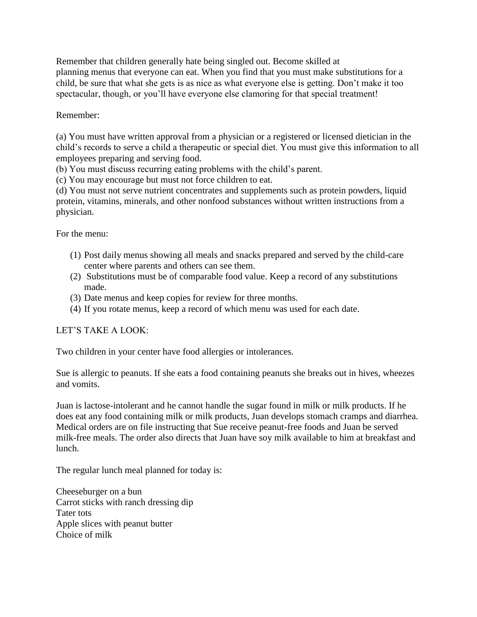Remember that children generally hate being singled out. Become skilled at planning menus that everyone can eat. When you find that you must make substitutions for a child, be sure that what she gets is as nice as what everyone else is getting. Don't make it too spectacular, though, or you'll have everyone else clamoring for that special treatment!

#### Remember:

(a) You must have written approval from a physician or a registered or licensed dietician in the child's records to serve a child a therapeutic or special diet. You must give this information to all employees preparing and serving food.

(b) You must discuss recurring eating problems with the child's parent.

(c) You may encourage but must not force children to eat.

(d) You must not serve nutrient concentrates and supplements such as protein powders, liquid protein, vitamins, minerals, and other nonfood substances without written instructions from a physician.

For the menu:

- (1) Post daily menus showing all meals and snacks prepared and served by the child-care center where parents and others can see them.
- (2) Substitutions must be of comparable food value. Keep a record of any substitutions made.
- (3) Date menus and keep copies for review for three months.
- (4) If you rotate menus, keep a record of which menu was used for each date.

## LET'S TAKE A LOOK:

Two children in your center have food allergies or intolerances.

Sue is allergic to peanuts. If she eats a food containing peanuts she breaks out in hives, wheezes and vomits.

Juan is lactose-intolerant and he cannot handle the sugar found in milk or milk products. If he does eat any food containing milk or milk products, Juan develops stomach cramps and diarrhea. Medical orders are on file instructing that Sue receive peanut-free foods and Juan be served milk-free meals. The order also directs that Juan have soy milk available to him at breakfast and lunch.

The regular lunch meal planned for today is:

Cheeseburger on a bun Carrot sticks with ranch dressing dip Tater tots Apple slices with peanut butter Choice of milk